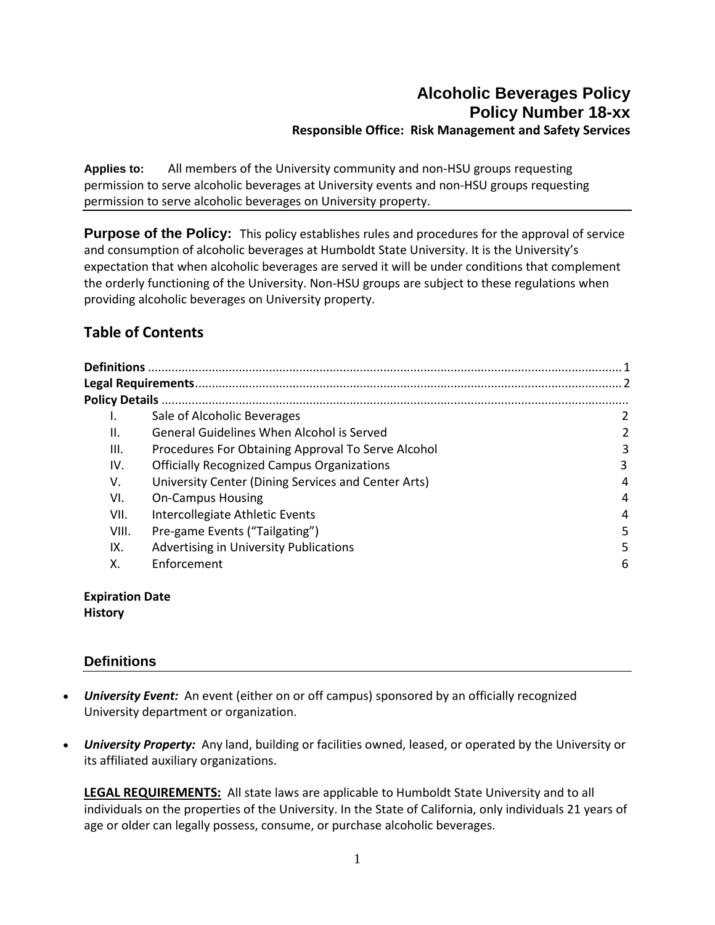# **Alcoholic Beverages Policy Policy Number 18-xx Responsible Office: Risk Management and Safety Services**

**Applies to:** All members of the University community and non-HSU groups requesting permission to serve alcoholic beverages at University events and non-HSU groups requesting permission to serve alcoholic beverages on University property.

**Purpose of the Policy:** This policy establishes rules and procedures for the approval of service and consumption of alcoholic beverages at Humboldt State University. It is the University's expectation that when alcoholic beverages are served it will be under conditions that complement the orderly functioning of the University. Non-HSU groups are subject to these regulations when providing alcoholic beverages on University property.

# **Table of Contents**

|       | Sale of Alcoholic Beverages                         | 2 |
|-------|-----------------------------------------------------|---|
| ΙΙ.   | General Guidelines When Alcohol is Served           |   |
| III.  | Procedures For Obtaining Approval To Serve Alcohol  | 3 |
| IV.   | <b>Officially Recognized Campus Organizations</b>   | 3 |
| V.    | University Center (Dining Services and Center Arts) | 4 |
| VI.   | <b>On-Campus Housing</b>                            | 4 |
| VII.  | Intercollegiate Athletic Events                     | 4 |
| VIII. | Pre-game Events ("Tailgating")                      | 5 |
| IX.   | Advertising in University Publications              | 5 |
| Χ.    | Enforcement                                         | 6 |
|       |                                                     |   |

**Expiration Date History**

# **Definitions**

- *University Event:* An event (either on or off campus) sponsored by an officially recognized University department or organization.
- *University Property:* Any land, building or facilities owned, leased, or operated by the University or its affiliated auxiliary organizations.

**LEGAL REQUIREMENTS:** All state laws are applicable to Humboldt State University and to all individuals on the properties of the University. In the State of California, only individuals 21 years of age or older can legally possess, consume, or purchase alcoholic beverages.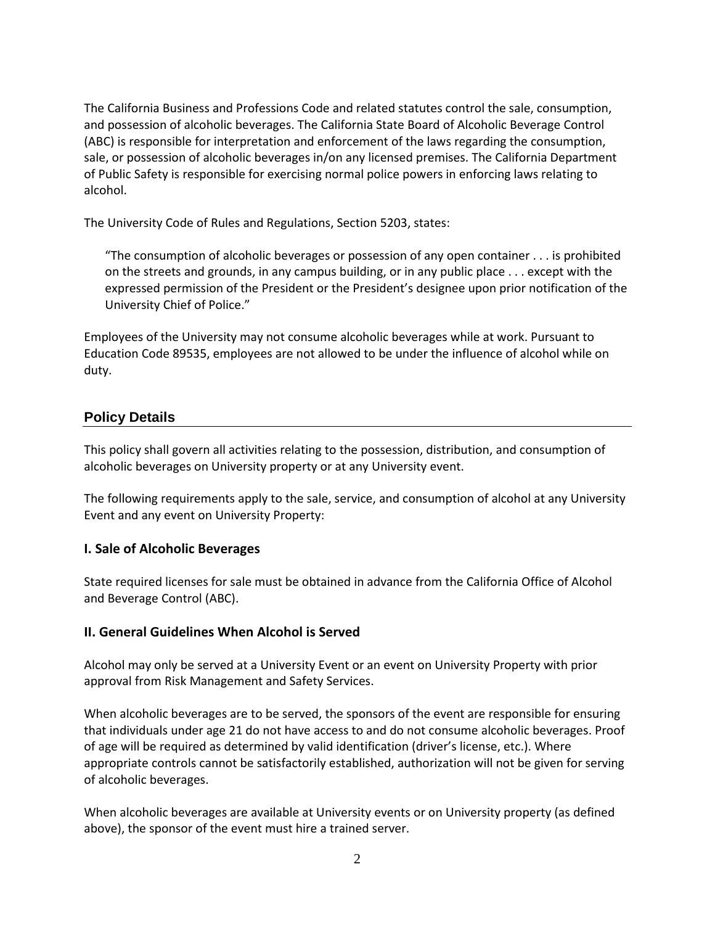The California Business and Professions Code and related statutes control the sale, consumption, and possession of alcoholic beverages. The California State Board of Alcoholic Beverage Control (ABC) is responsible for interpretation and enforcement of the laws regarding the consumption, sale, or possession of alcoholic beverages in/on any licensed premises. The California Department of Public Safety is responsible for exercising normal police powers in enforcing laws relating to alcohol.

The University Code of Rules and Regulations, Section 5203, states:

"The consumption of alcoholic beverages or possession of any open container . . . is prohibited on the streets and grounds, in any campus building, or in any public place . . . except with the expressed permission of the President or the President's designee upon prior notification of the University Chief of Police."

Employees of the University may not consume alcoholic beverages while at work. Pursuant to Education Code 89535, employees are not allowed to be under the influence of alcohol while on duty.

# **Policy Details**

This policy shall govern all activities relating to the possession, distribution, and consumption of alcoholic beverages on University property or at any University event.

The following requirements apply to the sale, service, and consumption of alcohol at any University Event and any event on University Property:

#### **I. Sale of Alcoholic Beverages**

State required licenses for sale must be obtained in advance from the California Office of Alcohol and Beverage Control (ABC).

#### **II. General Guidelines When Alcohol is Served**

Alcohol may only be served at a University Event or an event on University Property with prior approval from Risk Management and Safety Services.

When alcoholic beverages are to be served, the sponsors of the event are responsible for ensuring that individuals under age 21 do not have access to and do not consume alcoholic beverages. Proof of age will be required as determined by valid identification (driver's license, etc.). Where appropriate controls cannot be satisfactorily established, authorization will not be given for serving of alcoholic beverages.

When alcoholic beverages are available at University events or on University property (as defined above), the sponsor of the event must hire a trained server.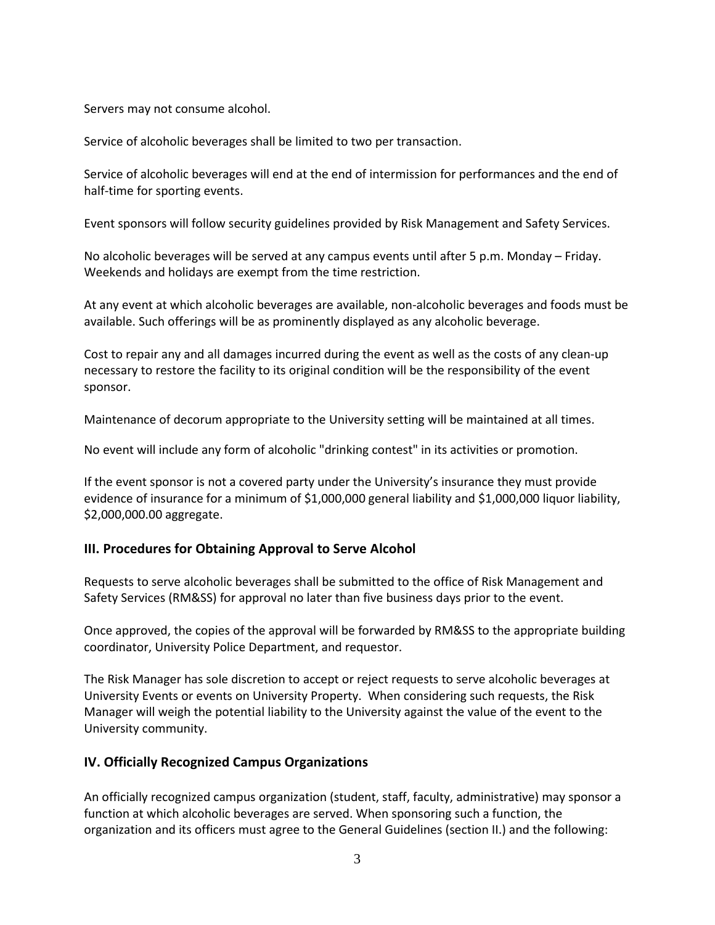Servers may not consume alcohol.

Service of alcoholic beverages shall be limited to two per transaction.

Service of alcoholic beverages will end at the end of intermission for performances and the end of half-time for sporting events.

Event sponsors will follow security guidelines provided by Risk Management and Safety Services.

No alcoholic beverages will be served at any campus events until after 5 p.m. Monday – Friday. Weekends and holidays are exempt from the time restriction.

At any event at which alcoholic beverages are available, non-alcoholic beverages and foods must be available. Such offerings will be as prominently displayed as any alcoholic beverage.

Cost to repair any and all damages incurred during the event as well as the costs of any clean-up necessary to restore the facility to its original condition will be the responsibility of the event sponsor.

Maintenance of decorum appropriate to the University setting will be maintained at all times.

No event will include any form of alcoholic "drinking contest" in its activities or promotion.

If the event sponsor is not a covered party under the University's insurance they must provide evidence of insurance for a minimum of \$1,000,000 general liability and \$1,000,000 liquor liability, \$2,000,000.00 aggregate.

#### **III. Procedures for Obtaining Approval to Serve Alcohol**

Requests to serve alcoholic beverages shall be submitted to the office of Risk Management and Safety Services (RM&SS) for approval no later than five business days prior to the event.

Once approved, the copies of the approval will be forwarded by RM&SS to the appropriate building coordinator, University Police Department, and requestor.

The Risk Manager has sole discretion to accept or reject requests to serve alcoholic beverages at University Events or events on University Property. When considering such requests, the Risk Manager will weigh the potential liability to the University against the value of the event to the University community.

#### **IV. Officially Recognized Campus Organizations**

An officially recognized campus organization (student, staff, faculty, administrative) may sponsor a function at which alcoholic beverages are served. When sponsoring such a function, the organization and its officers must agree to the General Guidelines (section II.) and the following: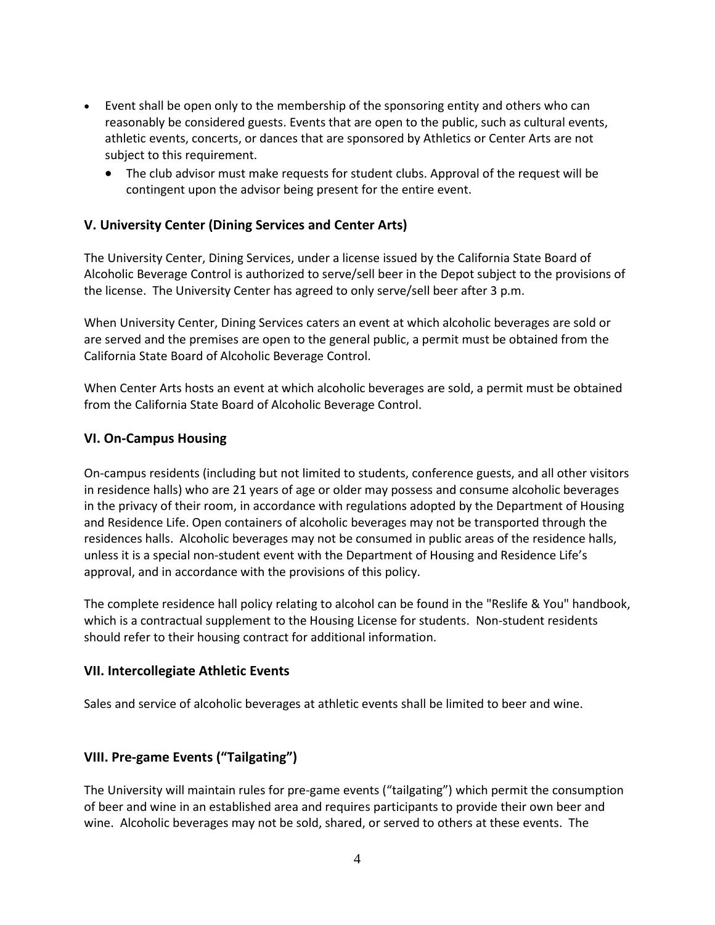- Event shall be open only to the membership of the sponsoring entity and others who can reasonably be considered guests. Events that are open to the public, such as cultural events, athletic events, concerts, or dances that are sponsored by Athletics or Center Arts are not subject to this requirement.
	- The club advisor must make requests for student clubs. Approval of the request will be contingent upon the advisor being present for the entire event.

# **V. University Center (Dining Services and Center Arts)**

The University Center, Dining Services, under a license issued by the California State Board of Alcoholic Beverage Control is authorized to serve/sell beer in the Depot subject to the provisions of the license. The University Center has agreed to only serve/sell beer after 3 p.m.

When University Center, Dining Services caters an event at which alcoholic beverages are sold or are served and the premises are open to the general public, a permit must be obtained from the California State Board of Alcoholic Beverage Control.

When Center Arts hosts an event at which alcoholic beverages are sold, a permit must be obtained from the California State Board of Alcoholic Beverage Control.

#### **VI. On-Campus Housing**

On-campus residents (including but not limited to students, conference guests, and all other visitors in residence halls) who are 21 years of age or older may possess and consume alcoholic beverages in the privacy of their room, in accordance with regulations adopted by the Department of Housing and Residence Life. Open containers of alcoholic beverages may not be transported through the residences halls. Alcoholic beverages may not be consumed in public areas of the residence halls, unless it is a special non-student event with the Department of Housing and Residence Life's approval, and in accordance with the provisions of this policy.

The complete residence hall policy relating to alcohol can be found in the "Reslife & You" handbook, which is a contractual supplement to the Housing License for students. Non-student residents should refer to their housing contract for additional information.

#### **VII. Intercollegiate Athletic Events**

Sales and service of alcoholic beverages at athletic events shall be limited to beer and wine.

#### **VIII. Pre-game Events ("Tailgating")**

The University will maintain rules for pre-game events ("tailgating") which permit the consumption of beer and wine in an established area and requires participants to provide their own beer and wine. Alcoholic beverages may not be sold, shared, or served to others at these events. The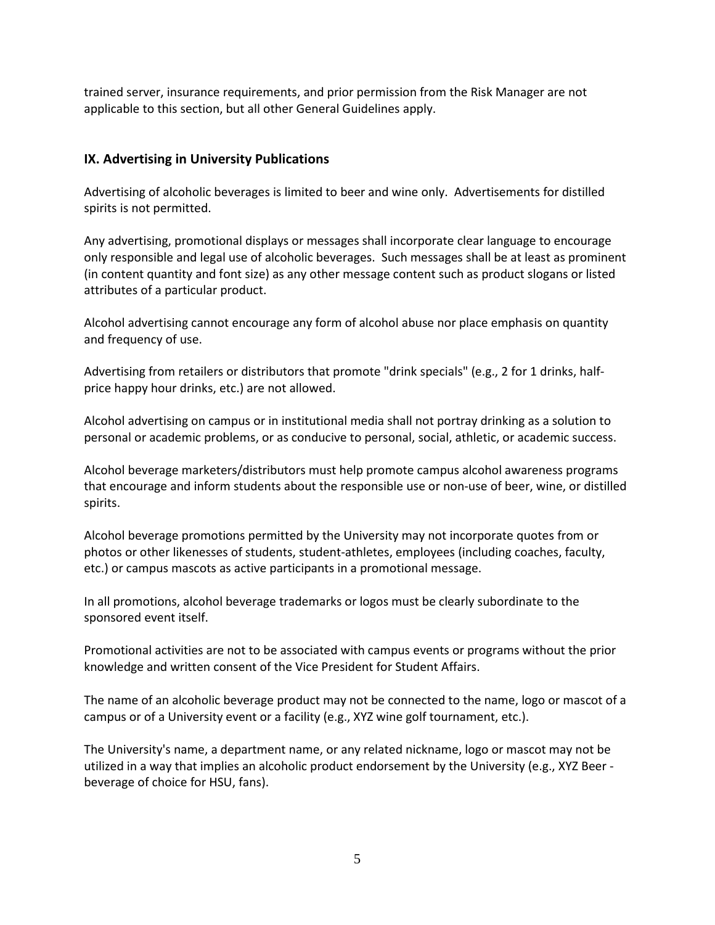trained server, insurance requirements, and prior permission from the Risk Manager are not applicable to this section, but all other General Guidelines apply.

# **IX. Advertising in University Publications**

Advertising of alcoholic beverages is limited to beer and wine only. Advertisements for distilled spirits is not permitted.

Any advertising, promotional displays or messages shall incorporate clear language to encourage only responsible and legal use of alcoholic beverages. Such messages shall be at least as prominent (in content quantity and font size) as any other message content such as product slogans or listed attributes of a particular product.

Alcohol advertising cannot encourage any form of alcohol abuse nor place emphasis on quantity and frequency of use.

Advertising from retailers or distributors that promote "drink specials" (e.g., 2 for 1 drinks, halfprice happy hour drinks, etc.) are not allowed.

Alcohol advertising on campus or in institutional media shall not portray drinking as a solution to personal or academic problems, or as conducive to personal, social, athletic, or academic success.

Alcohol beverage marketers/distributors must help promote campus alcohol awareness programs that encourage and inform students about the responsible use or non-use of beer, wine, or distilled spirits.

Alcohol beverage promotions permitted by the University may not incorporate quotes from or photos or other likenesses of students, student-athletes, employees (including coaches, faculty, etc.) or campus mascots as active participants in a promotional message.

In all promotions, alcohol beverage trademarks or logos must be clearly subordinate to the sponsored event itself.

Promotional activities are not to be associated with campus events or programs without the prior knowledge and written consent of the Vice President for Student Affairs.

The name of an alcoholic beverage product may not be connected to the name, logo or mascot of a campus or of a University event or a facility (e.g., XYZ wine golf tournament, etc.).

The University's name, a department name, or any related nickname, logo or mascot may not be utilized in a way that implies an alcoholic product endorsement by the University (e.g., XYZ Beer beverage of choice for HSU, fans).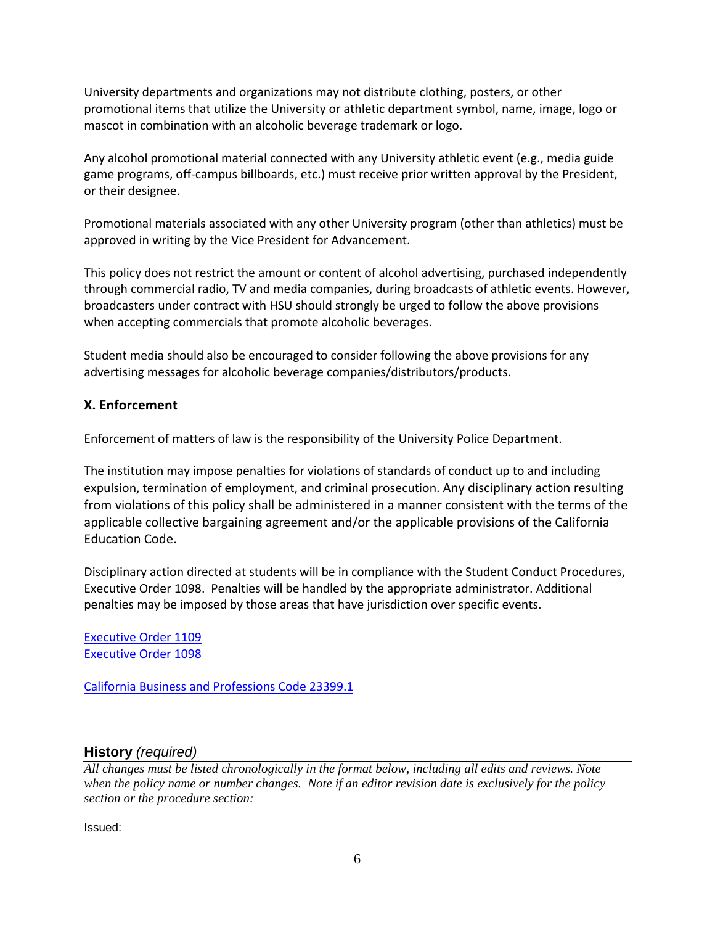University departments and organizations may not distribute clothing, posters, or other promotional items that utilize the University or athletic department symbol, name, image, logo or mascot in combination with an alcoholic beverage trademark or logo.

Any alcohol promotional material connected with any University athletic event (e.g., media guide game programs, off-campus billboards, etc.) must receive prior written approval by the President, or their designee.

Promotional materials associated with any other University program (other than athletics) must be approved in writing by the Vice President for Advancement.

This policy does not restrict the amount or content of alcohol advertising, purchased independently through commercial radio, TV and media companies, during broadcasts of athletic events. However, broadcasters under contract with HSU should strongly be urged to follow the above provisions when accepting commercials that promote alcoholic beverages.

Student media should also be encouraged to consider following the above provisions for any advertising messages for alcoholic beverage companies/distributors/products.

# **X. Enforcement**

Enforcement of matters of law is the responsibility of the University Police Department.

The institution may impose penalties for violations of standards of conduct up to and including expulsion, termination of employment, and criminal prosecution. Any disciplinary action resulting from violations of this policy shall be administered in a manner consistent with the terms of the applicable collective bargaining agreement and/or the applicable provisions of the California Education Code.

Disciplinary action directed at students will be in compliance with the Student Conduct Procedures, Executive Order 1098. Penalties will be handled by the appropriate administrator. Additional penalties may be imposed by those areas that have jurisdiction over specific events.

[Executive Order 1109](http://www.calstate.edu/eo/eo-1109.html) Executive Order 1098

[California Business and Professions Code 23399.1](http://leginfo.legislature.ca.gov/faces/codes_displaySection.xhtml?sectionNum=23399.1&lawCode=BPC)

# **History** *(required)*

*All changes must be listed chronologically in the format below, including all edits and reviews. Note when the policy name or number changes. Note if an editor revision date is exclusively for the policy section or the procedure section:*

Issued: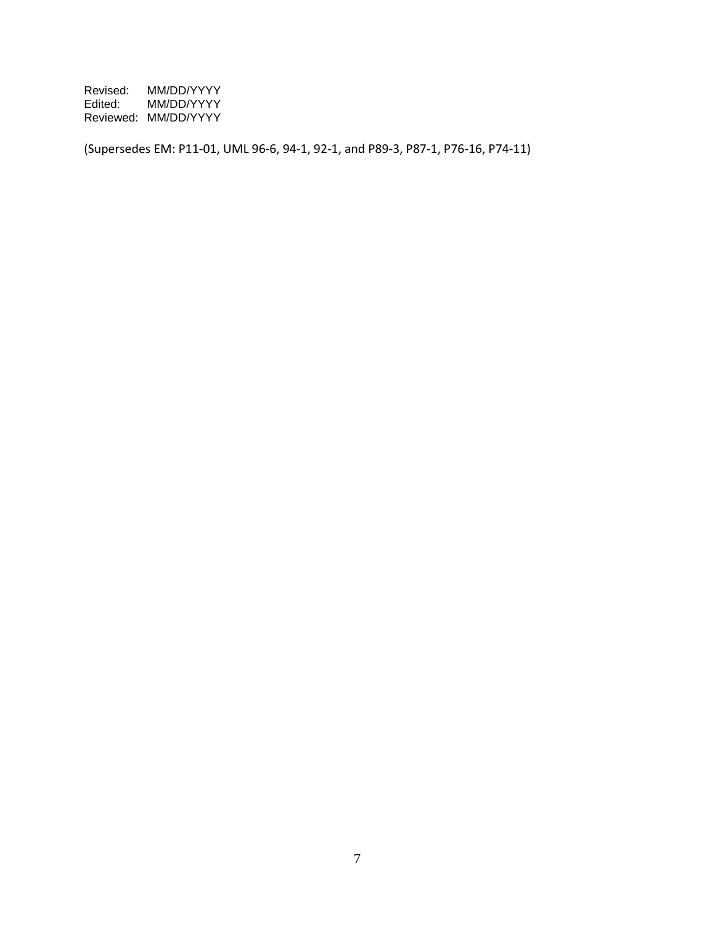Revised: MM/DD/YYYY<br>Edited: MM/DD/YYYY Edited: MM/DD/YYYY Reviewed: MM/DD/YYYY

(Supersedes EM: P11-01, UML 96-6, 94-1, 92-1, and P89-3, P87-1, P76-16, P74-11)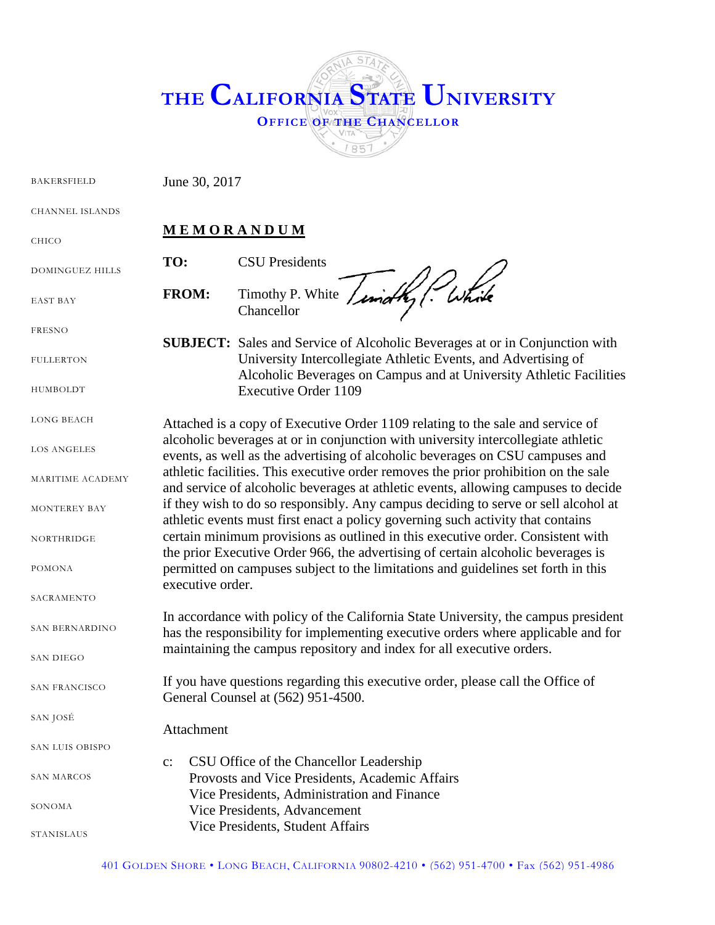

BAKERSFIELD June 30, 2017

CHANNEL ISLANDS

# **M E M O R A N D U M**

DOMINGUEZ HILLS

EAST BAY

CHICO

FRESNO

FULLERTON

HUMBOLDT

LONG BEACH

LOS ANGELES

MARITIME ACADEMY

MONTEREY BAY

NORTHRIDGE

POMONA

**SACRAMENTO** 

SAN BERNARDINO

SAN DIEGO

SAN FRANCISCO

SAN JOSÉ

SAN LUIS OBISPO SAN MARCOS SONOMA STANISLAUS c: CSU Office of the Chancellor Leadership Provosts and Vice Presidents, Academic Affairs Vice Presidents, Administration and Finance Vice Presidents, Advancement Vice Presidents, Student Affairs

Attachment

**TO:** CSU Presidents **FROM:** Timothy P. White Chancellor

**SUBJECT:** Sales and Service of Alcoholic Beverages at or in Conjunction with University Intercollegiate Athletic Events, and Advertising of Alcoholic Beverages on Campus and at University Athletic Facilities Executive Order 1109

Attached is a copy of Executive Order 1109 relating to the sale and service of alcoholic beverages at or in conjunction with university intercollegiate athletic events, as well as the advertising of alcoholic beverages on CSU campuses and athletic facilities. This executive order removes the prior prohibition on the sale and service of alcoholic beverages at athletic events, allowing campuses to decide if they wish to do so responsibly. Any campus deciding to serve or sell alcohol at athletic events must first enact a policy governing such activity that contains certain minimum provisions as outlined in this executive order. Consistent with the prior Executive Order 966, the advertising of certain alcoholic beverages is permitted on campuses subject to the limitations and guidelines set forth in this executive order.

In accordance with policy of the California State University, the campus president has the responsibility for implementing executive orders where applicable and for maintaining the campus repository and index for all executive orders.

If you have questions regarding this executive order, please call the Office of General Counsel at (562) 951-4500.

401 GOLDEN SHORE • LONG BEACH, CALIFORNIA 90802-4210 • (562) 951-4700 • Fax (562) 951-4986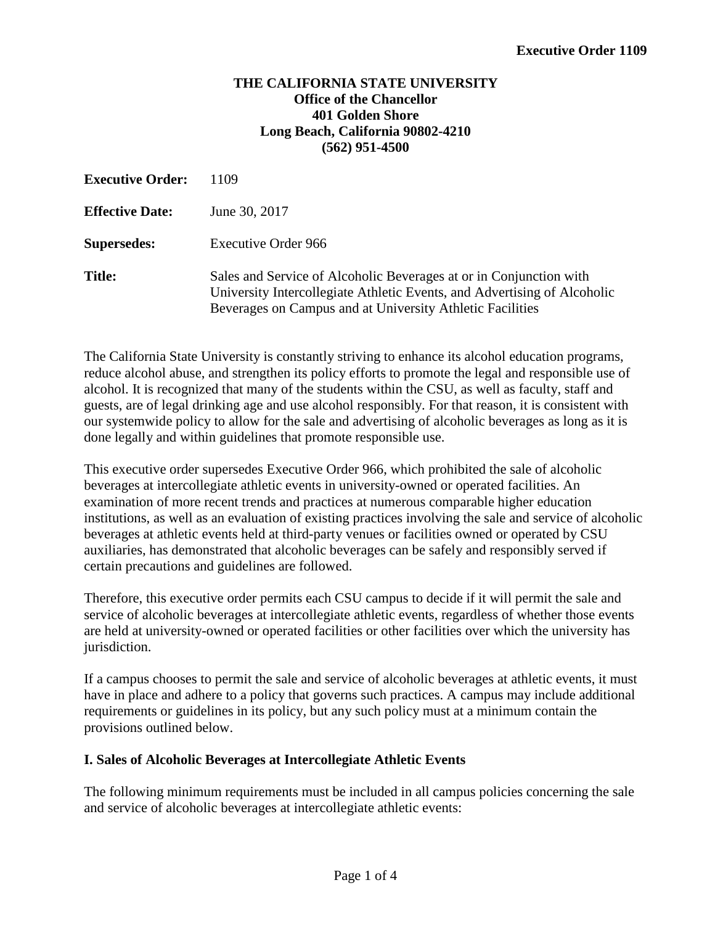## **THE CALIFORNIA STATE UNIVERSITY Office of the Chancellor 401 Golden Shore Long Beach, California 90802-4210 (562) 951-4500**

| <b>Executive Order:</b> | 1109                                                                                                                                                                                                        |
|-------------------------|-------------------------------------------------------------------------------------------------------------------------------------------------------------------------------------------------------------|
| <b>Effective Date:</b>  | June 30, 2017                                                                                                                                                                                               |
| <b>Supersedes:</b>      | Executive Order 966                                                                                                                                                                                         |
| <b>Title:</b>           | Sales and Service of Alcoholic Beverages at or in Conjunction with<br>University Intercollegiate Athletic Events, and Advertising of Alcoholic<br>Beverages on Campus and at University Athletic Facilities |

The California State University is constantly striving to enhance its alcohol education programs, reduce alcohol abuse, and strengthen its policy efforts to promote the legal and responsible use of alcohol. It is recognized that many of the students within the CSU, as well as faculty, staff and guests, are of legal drinking age and use alcohol responsibly. For that reason, it is consistent with our systemwide policy to allow for the sale and advertising of alcoholic beverages as long as it is done legally and within guidelines that promote responsible use.

This executive order supersedes Executive Order 966, which prohibited the sale of alcoholic beverages at intercollegiate athletic events in university-owned or operated facilities. An examination of more recent trends and practices at numerous comparable higher education institutions, as well as an evaluation of existing practices involving the sale and service of alcoholic beverages at athletic events held at third-party venues or facilities owned or operated by CSU auxiliaries, has demonstrated that alcoholic beverages can be safely and responsibly served if certain precautions and guidelines are followed.

Therefore, this executive order permits each CSU campus to decide if it will permit the sale and service of alcoholic beverages at intercollegiate athletic events, regardless of whether those events are held at university-owned or operated facilities or other facilities over which the university has jurisdiction.

If a campus chooses to permit the sale and service of alcoholic beverages at athletic events, it must have in place and adhere to a policy that governs such practices. A campus may include additional requirements or guidelines in its policy, but any such policy must at a minimum contain the provisions outlined below.

## **I. Sales of Alcoholic Beverages at Intercollegiate Athletic Events**

The following minimum requirements must be included in all campus policies concerning the sale and service of alcoholic beverages at intercollegiate athletic events: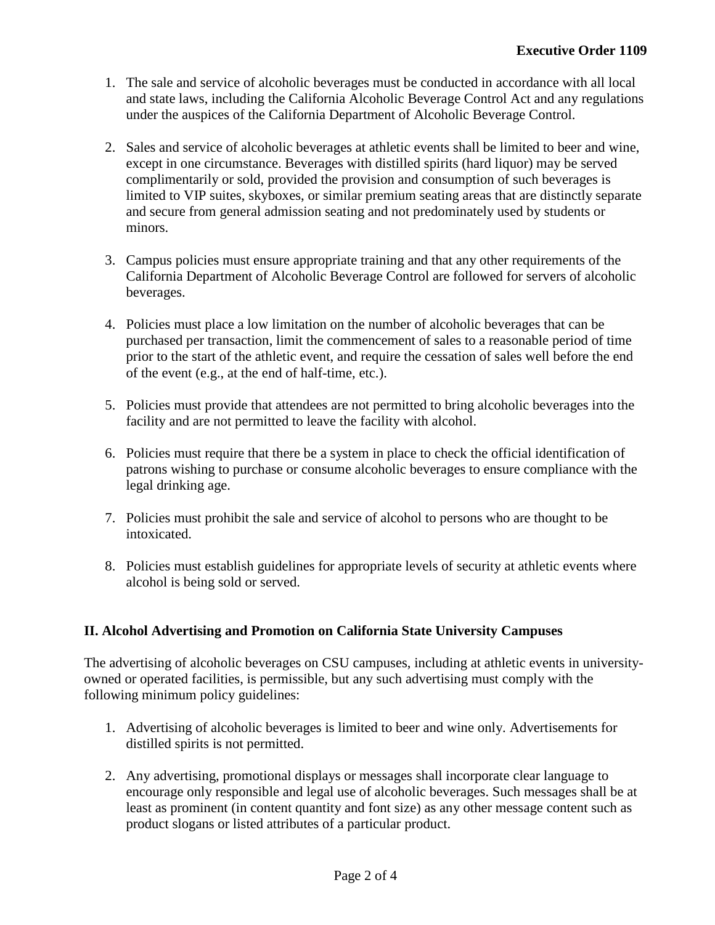- 1. The sale and service of alcoholic beverages must be conducted in accordance with all local and state laws, including the California Alcoholic Beverage Control Act and any regulations under the auspices of the California Department of Alcoholic Beverage Control.
- 2. Sales and service of alcoholic beverages at athletic events shall be limited to beer and wine, except in one circumstance. Beverages with distilled spirits (hard liquor) may be served complimentarily or sold, provided the provision and consumption of such beverages is limited to VIP suites, skyboxes, or similar premium seating areas that are distinctly separate and secure from general admission seating and not predominately used by students or minors.
- 3. Campus policies must ensure appropriate training and that any other requirements of the California Department of Alcoholic Beverage Control are followed for servers of alcoholic beverages.
- 4. Policies must place a low limitation on the number of alcoholic beverages that can be purchased per transaction, limit the commencement of sales to a reasonable period of time prior to the start of the athletic event, and require the cessation of sales well before the end of the event (e.g., at the end of half-time, etc.).
- 5. Policies must provide that attendees are not permitted to bring alcoholic beverages into the facility and are not permitted to leave the facility with alcohol.
- 6. Policies must require that there be a system in place to check the official identification of patrons wishing to purchase or consume alcoholic beverages to ensure compliance with the legal drinking age.
- 7. Policies must prohibit the sale and service of alcohol to persons who are thought to be intoxicated.
- 8. Policies must establish guidelines for appropriate levels of security at athletic events where alcohol is being sold or served.

# **II. Alcohol Advertising and Promotion on California State University Campuses**

The advertising of alcoholic beverages on CSU campuses, including at athletic events in universityowned or operated facilities, is permissible, but any such advertising must comply with the following minimum policy guidelines:

- 1. Advertising of alcoholic beverages is limited to beer and wine only. Advertisements for distilled spirits is not permitted.
- 2. Any advertising, promotional displays or messages shall incorporate clear language to encourage only responsible and legal use of alcoholic beverages. Such messages shall be at least as prominent (in content quantity and font size) as any other message content such as product slogans or listed attributes of a particular product.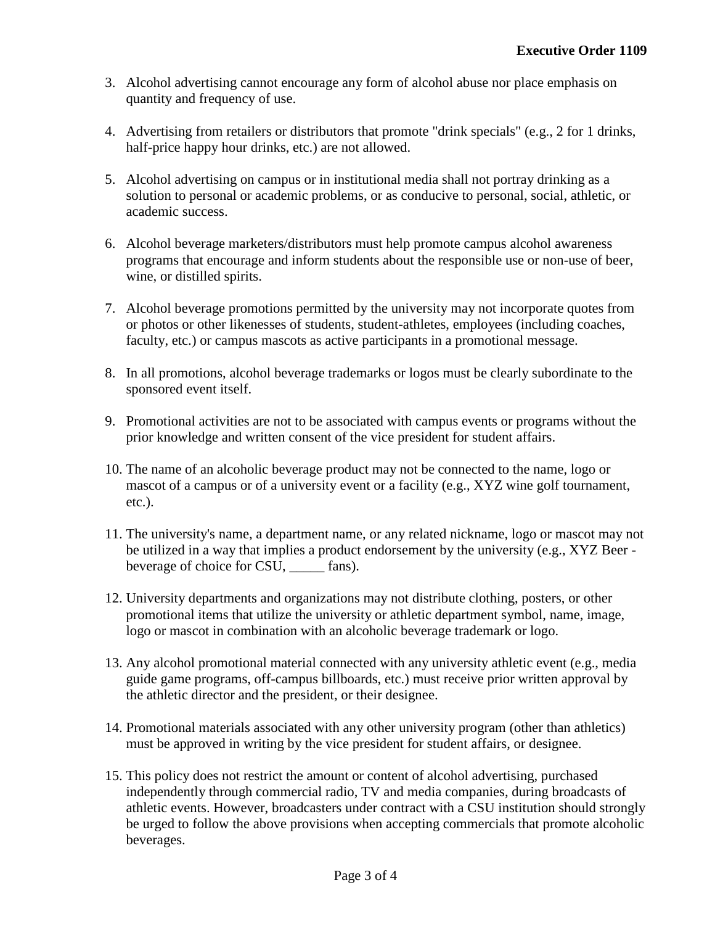- 3. Alcohol advertising cannot encourage any form of alcohol abuse nor place emphasis on quantity and frequency of use.
- 4. Advertising from retailers or distributors that promote "drink specials" (e.g., 2 for 1 drinks, half-price happy hour drinks, etc.) are not allowed.
- 5. Alcohol advertising on campus or in institutional media shall not portray drinking as a solution to personal or academic problems, or as conducive to personal, social, athletic, or academic success.
- 6. Alcohol beverage marketers/distributors must help promote campus alcohol awareness programs that encourage and inform students about the responsible use or non-use of beer, wine, or distilled spirits.
- 7. Alcohol beverage promotions permitted by the university may not incorporate quotes from or photos or other likenesses of students, student-athletes, employees (including coaches, faculty, etc.) or campus mascots as active participants in a promotional message.
- 8. In all promotions, alcohol beverage trademarks or logos must be clearly subordinate to the sponsored event itself.
- 9. Promotional activities are not to be associated with campus events or programs without the prior knowledge and written consent of the vice president for student affairs.
- 10. The name of an alcoholic beverage product may not be connected to the name, logo or mascot of a campus or of a university event or a facility (e.g., XYZ wine golf tournament, etc.).
- 11. The university's name, a department name, or any related nickname, logo or mascot may not be utilized in a way that implies a product endorsement by the university (e.g., XYZ Beer beverage of choice for CSU, \_\_\_\_\_ fans).
- 12. University departments and organizations may not distribute clothing, posters, or other promotional items that utilize the university or athletic department symbol, name, image, logo or mascot in combination with an alcoholic beverage trademark or logo.
- 13. Any alcohol promotional material connected with any university athletic event (e.g., media guide game programs, off-campus billboards, etc.) must receive prior written approval by the athletic director and the president, or their designee.
- 14. Promotional materials associated with any other university program (other than athletics) must be approved in writing by the vice president for student affairs, or designee.
- 15. This policy does not restrict the amount or content of alcohol advertising, purchased independently through commercial radio, TV and media companies, during broadcasts of athletic events. However, broadcasters under contract with a CSU institution should strongly be urged to follow the above provisions when accepting commercials that promote alcoholic beverages.